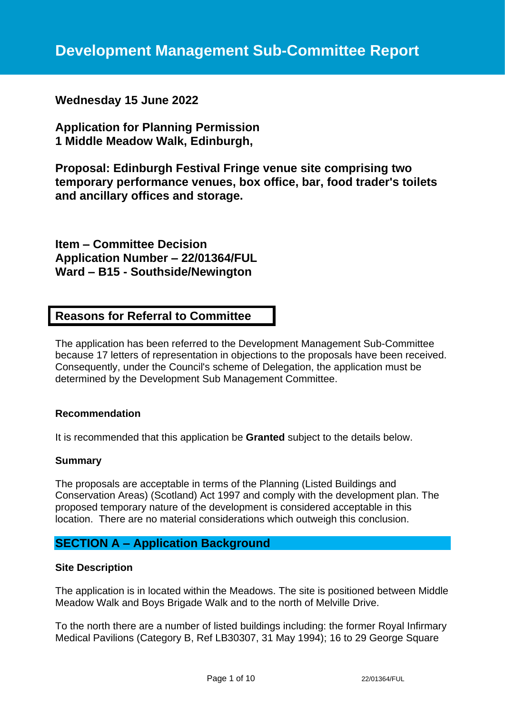**Wednesday 15 June 2022**

**Application for Planning Permission 1 Middle Meadow Walk, Edinburgh,** 

**Proposal: Edinburgh Festival Fringe venue site comprising two temporary performance venues, box office, bar, food trader's toilets and ancillary offices and storage.**

**Item – Committee Decision Application Number – 22/01364/FUL Ward – B15 - Southside/Newington**

# **Reasons for Referral to Committee**

The application has been referred to the Development Management Sub-Committee because 17 letters of representation in objections to the proposals have been received. Consequently, under the Council's scheme of Delegation, the application must be determined by the Development Sub Management Committee.

#### **Recommendation**

It is recommended that this application be **Granted** subject to the details below.

#### **Summary**

The proposals are acceptable in terms of the Planning (Listed Buildings and Conservation Areas) (Scotland) Act 1997 and comply with the development plan. The proposed temporary nature of the development is considered acceptable in this location. There are no material considerations which outweigh this conclusion.

# **SECTION A – Application Background**

#### **Site Description**

The application is in located within the Meadows. The site is positioned between Middle Meadow Walk and Boys Brigade Walk and to the north of Melville Drive.

To the north there are a number of listed buildings including: the former Royal Infirmary Medical Pavilions (Category B, Ref LB30307, 31 May 1994); 16 to 29 George Square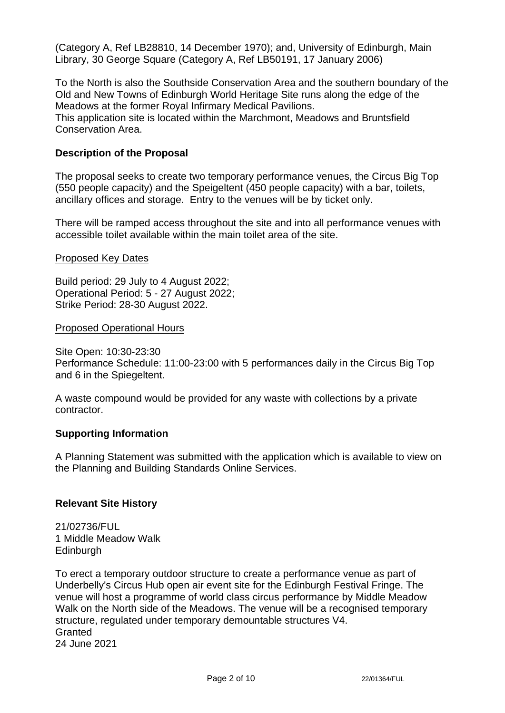(Category A, Ref LB28810, 14 December 1970); and, University of Edinburgh, Main Library, 30 George Square (Category A, Ref LB50191, 17 January 2006)

To the North is also the Southside Conservation Area and the southern boundary of the Old and New Towns of Edinburgh World Heritage Site runs along the edge of the Meadows at the former Royal Infirmary Medical Pavilions.

This application site is located within the Marchmont, Meadows and Bruntsfield Conservation Area.

### **Description of the Proposal**

The proposal seeks to create two temporary performance venues, the Circus Big Top (550 people capacity) and the Speigeltent (450 people capacity) with a bar, toilets, ancillary offices and storage. Entry to the venues will be by ticket only.

There will be ramped access throughout the site and into all performance venues with accessible toilet available within the main toilet area of the site.

#### Proposed Key Dates

Build period: 29 July to 4 August 2022; Operational Period: 5 - 27 August 2022; Strike Period: 28-30 August 2022.

#### Proposed Operational Hours

Site Open: 10:30-23:30

Performance Schedule: 11:00-23:00 with 5 performances daily in the Circus Big Top and 6 in the Spiegeltent.

A waste compound would be provided for any waste with collections by a private contractor.

#### **Supporting Information**

A Planning Statement was submitted with the application which is available to view on the Planning and Building Standards Online Services.

#### **Relevant Site History**

21/02736/FUL 1 Middle Meadow Walk Edinburgh

To erect a temporary outdoor structure to create a performance venue as part of Underbelly's Circus Hub open air event site for the Edinburgh Festival Fringe. The venue will host a programme of world class circus performance by Middle Meadow Walk on the North side of the Meadows. The venue will be a recognised temporary structure, regulated under temporary demountable structures V4. **Granted** 24 June 2021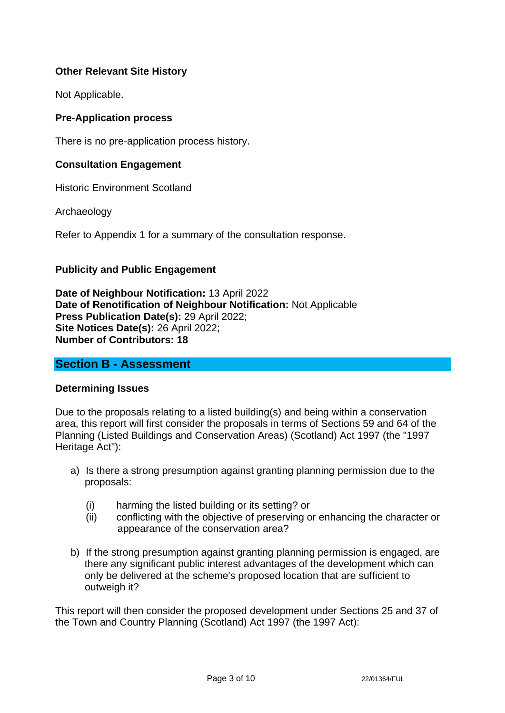# **Other Relevant Site History**

Not Applicable.

## **Pre-Application process**

There is no pre-application process history.

## **Consultation Engagement**

Historic Environment Scotland

Archaeology

Refer to Appendix 1 for a summary of the consultation response.

## **Publicity and Public Engagement**

**Date of Neighbour Notification:** 13 April 2022 **Date of Renotification of Neighbour Notification:** Not Applicable **Press Publication Date(s):** 29 April 2022; **Site Notices Date(s):** 26 April 2022; **Number of Contributors: 18**

# **Section B - Assessment**

## **Determining Issues**

Due to the proposals relating to a listed building(s) and being within a conservation area, this report will first consider the proposals in terms of Sections 59 and 64 of the Planning (Listed Buildings and Conservation Areas) (Scotland) Act 1997 (the "1997 Heritage Act"):

- a) Is there a strong presumption against granting planning permission due to the proposals:
	- (i) harming the listed building or its setting? or
	- (ii) conflicting with the objective of preserving or enhancing the character or appearance of the conservation area?
- b) If the strong presumption against granting planning permission is engaged, are there any significant public interest advantages of the development which can only be delivered at the scheme's proposed location that are sufficient to outweigh it?

This report will then consider the proposed development under Sections 25 and 37 of the Town and Country Planning (Scotland) Act 1997 (the 1997 Act):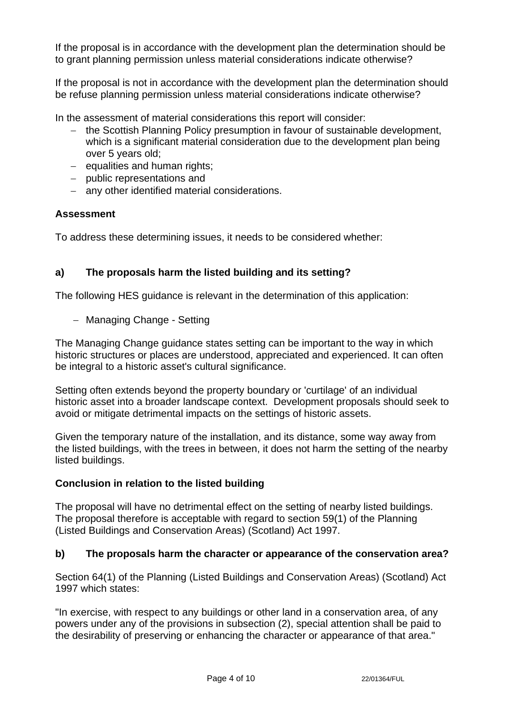If the proposal is in accordance with the development plan the determination should be to grant planning permission unless material considerations indicate otherwise?

If the proposal is not in accordance with the development plan the determination should be refuse planning permission unless material considerations indicate otherwise?

In the assessment of material considerations this report will consider:

- − the Scottish Planning Policy presumption in favour of sustainable development, which is a significant material consideration due to the development plan being over 5 years old;
- − equalities and human rights;
- − public representations and
- − any other identified material considerations.

## **Assessment**

To address these determining issues, it needs to be considered whether:

# **a) The proposals harm the listed building and its setting?**

The following HES guidance is relevant in the determination of this application:

− Managing Change - Setting

The Managing Change guidance states setting can be important to the way in which historic structures or places are understood, appreciated and experienced. It can often be integral to a historic asset's cultural significance.

Setting often extends beyond the property boundary or 'curtilage' of an individual historic asset into a broader landscape context. Development proposals should seek to avoid or mitigate detrimental impacts on the settings of historic assets.

Given the temporary nature of the installation, and its distance, some way away from the listed buildings, with the trees in between, it does not harm the setting of the nearby listed buildings.

## **Conclusion in relation to the listed building**

The proposal will have no detrimental effect on the setting of nearby listed buildings. The proposal therefore is acceptable with regard to section 59(1) of the Planning (Listed Buildings and Conservation Areas) (Scotland) Act 1997.

## **b) The proposals harm the character or appearance of the conservation area?**

Section 64(1) of the Planning (Listed Buildings and Conservation Areas) (Scotland) Act 1997 which states:

"In exercise, with respect to any buildings or other land in a conservation area, of any powers under any of the provisions in subsection (2), special attention shall be paid to the desirability of preserving or enhancing the character or appearance of that area."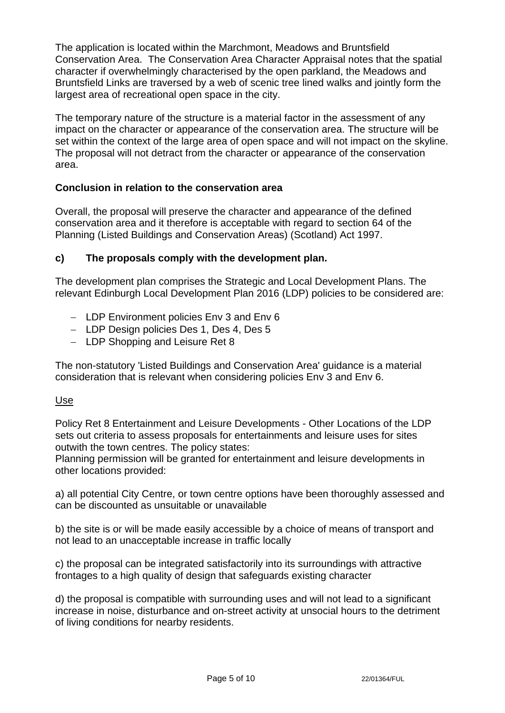The application is located within the Marchmont, Meadows and Bruntsfield Conservation Area. The Conservation Area Character Appraisal notes that the spatial character if overwhelmingly characterised by the open parkland, the Meadows and Bruntsfield Links are traversed by a web of scenic tree lined walks and jointly form the largest area of recreational open space in the city.

The temporary nature of the structure is a material factor in the assessment of any impact on the character or appearance of the conservation area. The structure will be set within the context of the large area of open space and will not impact on the skyline. The proposal will not detract from the character or appearance of the conservation area.

# **Conclusion in relation to the conservation area**

Overall, the proposal will preserve the character and appearance of the defined conservation area and it therefore is acceptable with regard to section 64 of the Planning (Listed Buildings and Conservation Areas) (Scotland) Act 1997.

## **c) The proposals comply with the development plan.**

The development plan comprises the Strategic and Local Development Plans. The relevant Edinburgh Local Development Plan 2016 (LDP) policies to be considered are:

- − LDP Environment policies Env 3 and Env 6
- − LDP Design policies Des 1, Des 4, Des 5
- − LDP Shopping and Leisure Ret 8

The non-statutory 'Listed Buildings and Conservation Area' guidance is a material consideration that is relevant when considering policies Env 3 and Env 6.

## Use

Policy Ret 8 Entertainment and Leisure Developments - Other Locations of the LDP sets out criteria to assess proposals for entertainments and leisure uses for sites outwith the town centres. The policy states:

Planning permission will be granted for entertainment and leisure developments in other locations provided:

a) all potential City Centre, or town centre options have been thoroughly assessed and can be discounted as unsuitable or unavailable

b) the site is or will be made easily accessible by a choice of means of transport and not lead to an unacceptable increase in traffic locally

c) the proposal can be integrated satisfactorily into its surroundings with attractive frontages to a high quality of design that safeguards existing character

d) the proposal is compatible with surrounding uses and will not lead to a significant increase in noise, disturbance and on-street activity at unsocial hours to the detriment of living conditions for nearby residents.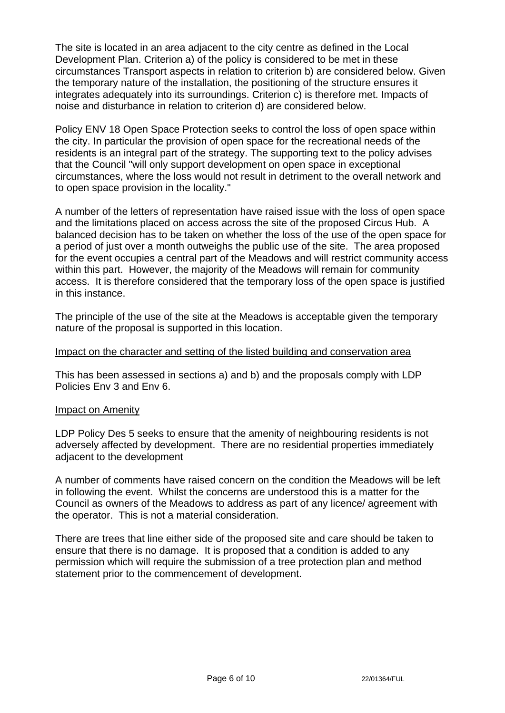The site is located in an area adjacent to the city centre as defined in the Local Development Plan. Criterion a) of the policy is considered to be met in these circumstances Transport aspects in relation to criterion b) are considered below. Given the temporary nature of the installation, the positioning of the structure ensures it integrates adequately into its surroundings. Criterion c) is therefore met. Impacts of noise and disturbance in relation to criterion d) are considered below.

Policy ENV 18 Open Space Protection seeks to control the loss of open space within the city. In particular the provision of open space for the recreational needs of the residents is an integral part of the strategy. The supporting text to the policy advises that the Council "will only support development on open space in exceptional circumstances, where the loss would not result in detriment to the overall network and to open space provision in the locality."

A number of the letters of representation have raised issue with the loss of open space and the limitations placed on access across the site of the proposed Circus Hub. A balanced decision has to be taken on whether the loss of the use of the open space for a period of just over a month outweighs the public use of the site. The area proposed for the event occupies a central part of the Meadows and will restrict community access within this part. However, the majority of the Meadows will remain for community access. It is therefore considered that the temporary loss of the open space is justified in this instance.

The principle of the use of the site at the Meadows is acceptable given the temporary nature of the proposal is supported in this location.

### Impact on the character and setting of the listed building and conservation area

This has been assessed in sections a) and b) and the proposals comply with LDP Policies Env 3 and Env 6.

#### Impact on Amenity

LDP Policy Des 5 seeks to ensure that the amenity of neighbouring residents is not adversely affected by development. There are no residential properties immediately adjacent to the development

A number of comments have raised concern on the condition the Meadows will be left in following the event. Whilst the concerns are understood this is a matter for the Council as owners of the Meadows to address as part of any licence/ agreement with the operator. This is not a material consideration.

There are trees that line either side of the proposed site and care should be taken to ensure that there is no damage. It is proposed that a condition is added to any permission which will require the submission of a tree protection plan and method statement prior to the commencement of development.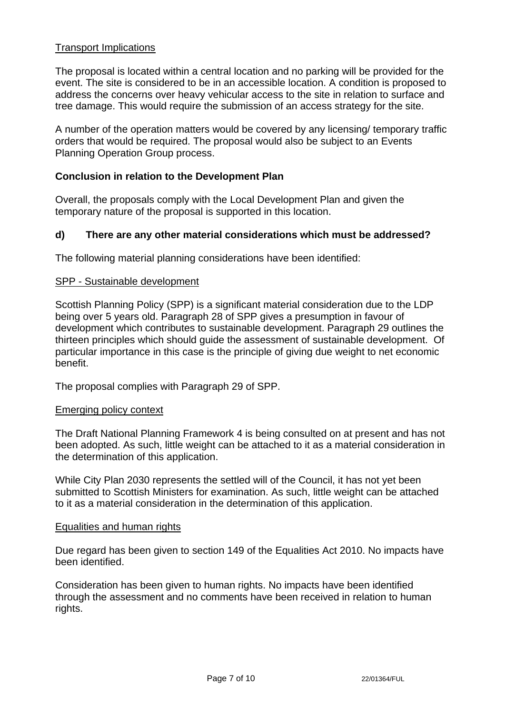## Transport Implications

The proposal is located within a central location and no parking will be provided for the event. The site is considered to be in an accessible location. A condition is proposed to address the concerns over heavy vehicular access to the site in relation to surface and tree damage. This would require the submission of an access strategy for the site.

A number of the operation matters would be covered by any licensing/ temporary traffic orders that would be required. The proposal would also be subject to an Events Planning Operation Group process.

## **Conclusion in relation to the Development Plan**

Overall, the proposals comply with the Local Development Plan and given the temporary nature of the proposal is supported in this location.

## **d) There are any other material considerations which must be addressed?**

The following material planning considerations have been identified:

## SPP - Sustainable development

Scottish Planning Policy (SPP) is a significant material consideration due to the LDP being over 5 years old. Paragraph 28 of SPP gives a presumption in favour of development which contributes to sustainable development. Paragraph 29 outlines the thirteen principles which should guide the assessment of sustainable development. Of particular importance in this case is the principle of giving due weight to net economic benefit.

The proposal complies with Paragraph 29 of SPP.

#### Emerging policy context

The Draft National Planning Framework 4 is being consulted on at present and has not been adopted. As such, little weight can be attached to it as a material consideration in the determination of this application.

While City Plan 2030 represents the settled will of the Council, it has not yet been submitted to Scottish Ministers for examination. As such, little weight can be attached to it as a material consideration in the determination of this application.

#### Equalities and human rights

Due regard has been given to section 149 of the Equalities Act 2010. No impacts have been identified.

Consideration has been given to human rights. No impacts have been identified through the assessment and no comments have been received in relation to human rights.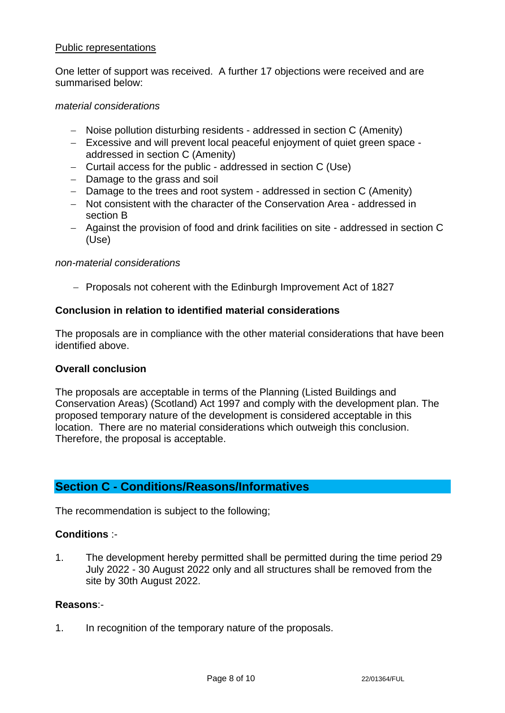### Public representations

One letter of support was received. A further 17 objections were received and are summarised below:

### *material considerations*

- − Noise pollution disturbing residents addressed in section C (Amenity)
- − Excessive and will prevent local peaceful enjoyment of quiet green space addressed in section C (Amenity)
- − Curtail access for the public addressed in section C (Use)
- − Damage to the grass and soil
- − Damage to the trees and root system addressed in section C (Amenity)
- − Not consistent with the character of the Conservation Area addressed in section B
- − Against the provision of food and drink facilities on site addressed in section C (Use)

### *non-material considerations*

− Proposals not coherent with the Edinburgh Improvement Act of 1827

## **Conclusion in relation to identified material considerations**

The proposals are in compliance with the other material considerations that have been identified above.

## **Overall conclusion**

The proposals are acceptable in terms of the Planning (Listed Buildings and Conservation Areas) (Scotland) Act 1997 and comply with the development plan. The proposed temporary nature of the development is considered acceptable in this location. There are no material considerations which outweigh this conclusion. Therefore, the proposal is acceptable.

# **Section C - Conditions/Reasons/Informatives**

The recommendation is subject to the following;

## **Conditions** :-

1. The development hereby permitted shall be permitted during the time period 29 July 2022 - 30 August 2022 only and all structures shall be removed from the site by 30th August 2022.

## **Reasons**:-

1. In recognition of the temporary nature of the proposals.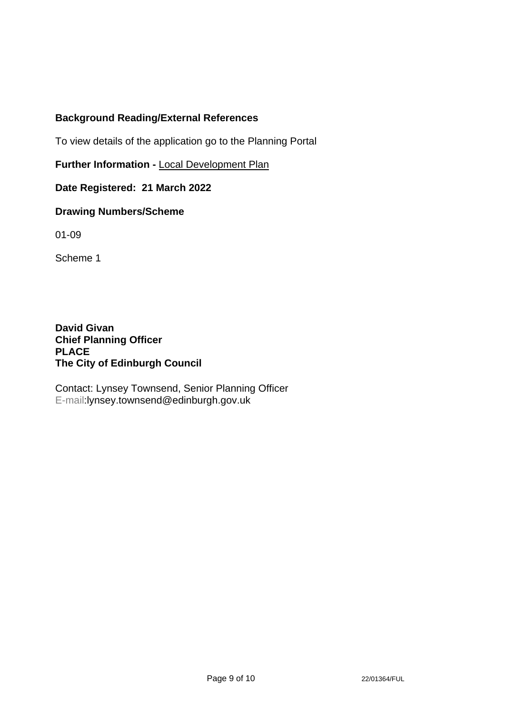# **Background Reading/External References**

To view details of the application go to the Planning Portal

**Further Information -** [Local Development Plan](https://www.edinburgh.gov.uk/local-development-plan-guidance-1/edinburgh-local-development-plan/1)

**Date Registered: 21 March 2022**

## **Drawing Numbers/Scheme**

01-09

Scheme 1

**David Givan Chief Planning Officer PLACE The City of Edinburgh Council**

Contact: Lynsey Townsend, Senior Planning Officer E-mail:lynsey.townsend@edinburgh.gov.uk